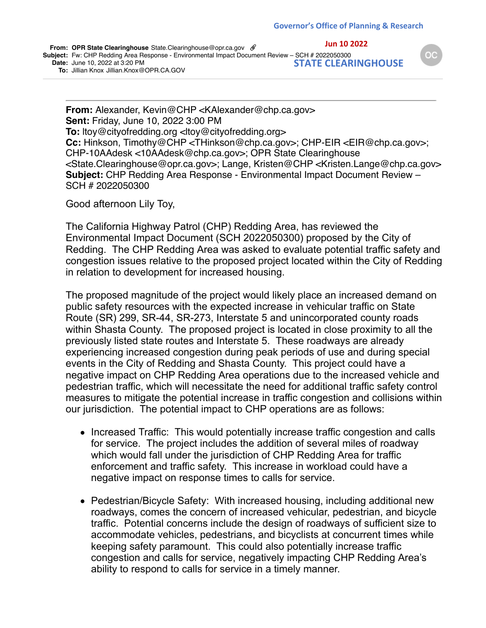**Jun 10 2022**

**From: OPR State [Clearinghouse](mailto:ClearinghouseState.Clearinghouse@opr.ca.gov)** [State.Clearinghouse@opr.ca.gov](mailto:ClearinghouseState.Clearinghouse@opr.ca.gov)

**Subject:** Fw: CHP Redding Area Response - Environmental Impact Document Review – SCH # 2022050300 **Date:** June 10, 2022 at 3:20 PM

**To:** Jillian [Knox](mailto:KnoxJillian.Knox@OPR.CA.GOV) [Jillian.Knox@OPR.CA.GOV](mailto:KnoxJillian.Knox@OPR.CA.GOV)

 **STATE CLEARINGHOUSE**

**From:** Alexander, Kevin@CHP <KAlexander@chp.ca.gov> **Sent:** Friday, June 10, 2022 3:00 PM **To:** ltoy@cityofredding.org <ltoy@cityofredding.org> **Cc:** Hinkson, Timothy@CHP <THinkson@chp.ca.gov>; CHP-EIR <EIR@chp.ca.gov>; CHP-10AAdesk <10AAdesk@chp.ca.gov>; OPR State Clearinghouse <State.Clearinghouse@opr.ca.gov>; Lange, Kristen@CHP <Kristen.Lange@chp.ca.gov> **Subject:** CHP Redding Area Response - Environmental Impact Document Review – SCH # 2022050300

Good afternoon Lily Toy,

The California Highway Patrol (CHP) Redding Area, has reviewed the Environmental Impact Document (SCH 2022050300) proposed by the City of Redding. The CHP Redding Area was asked to evaluate potential traffic safety and congestion issues relative to the proposed project located within the City of Redding in relation to development for increased housing.

The proposed magnitude of the project would likely place an increased demand on public safety resources with the expected increase in vehicular traffic on State Route (SR) 299, SR-44, SR-273, Interstate 5 and unincorporated county roads within Shasta County. The proposed project is located in close proximity to all the previously listed state routes and Interstate 5. These roadways are already experiencing increased congestion during peak periods of use and during special events in the City of Redding and Shasta County. This project could have a negative impact on CHP Redding Area operations due to the increased vehicle and pedestrian traffic, which will necessitate the need for additional traffic safety control measures to mitigate the potential increase in traffic congestion and collisions within our jurisdiction. The potential impact to CHP operations are as follows:

- Increased Traffic: This would potentially increase traffic congestion and calls for service. The project includes the addition of several miles of roadway which would fall under the jurisdiction of CHP Redding Area for traffic enforcement and traffic safety. This increase in workload could have a negative impact on response times to calls for service.
- Pedestrian/Bicycle Safety: With increased housing, including additional new roadways, comes the concern of increased vehicular, pedestrian, and bicycle traffic. Potential concerns include the design of roadways of sufficient size to accommodate vehicles, pedestrians, and bicyclists at concurrent times while keeping safety paramount. This could also potentially increase traffic congestion and calls for service, negatively impacting CHP Redding Area's ability to respond to calls for service in a timely manner.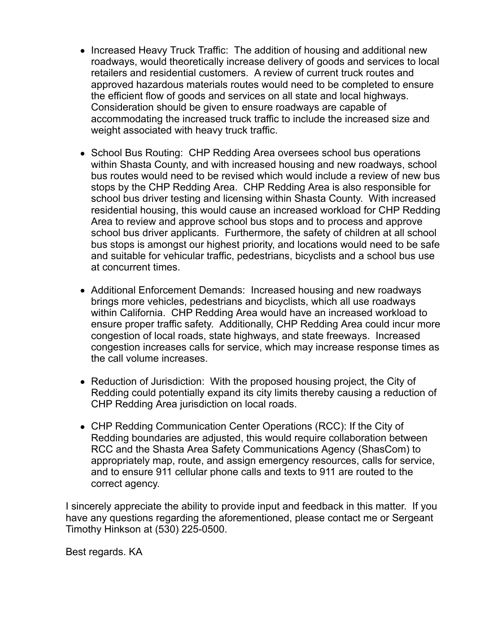- Increased Heavy Truck Traffic: The addition of housing and additional new roadways, would theoretically increase delivery of goods and services to local retailers and residential customers. A review of current truck routes and approved hazardous materials routes would need to be completed to ensure the efficient flow of goods and services on all state and local highways. Consideration should be given to ensure roadways are capable of accommodating the increased truck traffic to include the increased size and weight associated with heavy truck traffic.
- School Bus Routing: CHP Redding Area oversees school bus operations within Shasta County, and with increased housing and new roadways, school bus routes would need to be revised which would include a review of new bus stops by the CHP Redding Area. CHP Redding Area is also responsible for school bus driver testing and licensing within Shasta County. With increased residential housing, this would cause an increased workload for CHP Redding Area to review and approve school bus stops and to process and approve school bus driver applicants. Furthermore, the safety of children at all school bus stops is amongst our highest priority, and locations would need to be safe and suitable for vehicular traffic, pedestrians, bicyclists and a school bus use at concurrent times.
- Additional Enforcement Demands: Increased housing and new roadways brings more vehicles, pedestrians and bicyclists, which all use roadways within California. CHP Redding Area would have an increased workload to ensure proper traffic safety. Additionally, CHP Redding Area could incur more congestion of local roads, state highways, and state freeways. Increased congestion increases calls for service, which may increase response times as the call volume increases.
- Reduction of Jurisdiction: With the proposed housing project, the City of Redding could potentially expand its city limits thereby causing a reduction of CHP Redding Area jurisdiction on local roads.
- CHP Redding Communication Center Operations (RCC): If the City of Redding boundaries are adjusted, this would require collaboration between RCC and the Shasta Area Safety Communications Agency (ShasCom) to appropriately map, route, and assign emergency resources, calls for service, and to ensure 911 cellular phone calls and texts to 911 are routed to the correct agency.

I sincerely appreciate the ability to provide input and feedback in this matter. If you have any questions regarding the aforementioned, please contact me or Sergeant Timothy Hinkson at (530) 225-0500.

Best regards. KA